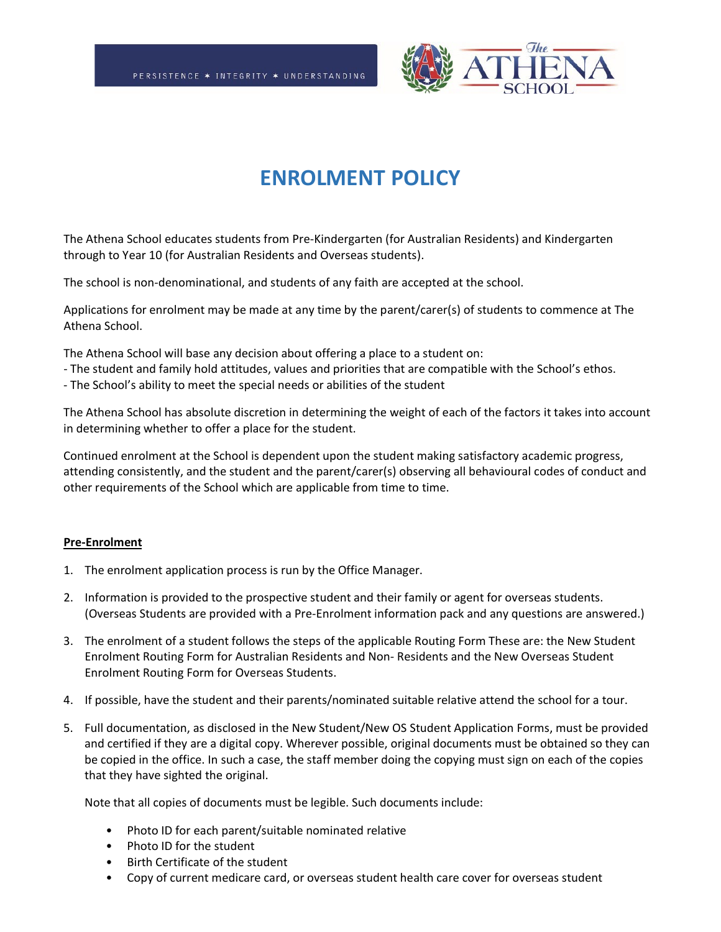

# **ENROLMENT POLICY**

The Athena School educates students from Pre-Kindergarten (for Australian Residents) and Kindergarten through to Year 10 (for Australian Residents and Overseas students).

The school is non-denominational, and students of any faith are accepted at the school.

Applications for enrolment may be made at any time by the parent/carer(s) of students to commence at The Athena School.

The Athena School will base any decision about offering a place to a student on:

- The student and family hold attitudes, values and priorities that are compatible with the School's ethos.
- The School's ability to meet the special needs or abilities of the student

The Athena School has absolute discretion in determining the weight of each of the factors it takes into account in determining whether to offer a place for the student.

Continued enrolment at the School is dependent upon the student making satisfactory academic progress, attending consistently, and the student and the parent/carer(s) observing all behavioural codes of conduct and other requirements of the School which are applicable from time to time.

#### **Pre-Enrolment**

- 1. The enrolment application process is run by the Office Manager.
- 2. Information is provided to the prospective student and their family or agent for overseas students. (Overseas Students are provided with a Pre-Enrolment information pack and any questions are answered.)
- 3. The enrolment of a student follows the steps of the applicable Routing Form These are: the New Student Enrolment Routing Form for Australian Residents and Non- Residents and the New Overseas Student Enrolment Routing Form for Overseas Students.
- 4. If possible, have the student and their parents/nominated suitable relative attend the school for a tour.
- 5. Full documentation, as disclosed in the New Student/New OS Student Application Forms, must be provided and certified if they are a digital copy. Wherever possible, original documents must be obtained so they can be copied in the office. In such a case, the staff member doing the copying must sign on each of the copies that they have sighted the original.

Note that all copies of documents must be legible. Such documents include:

- Photo ID for each parent/suitable nominated relative
- Photo ID for the student
- Birth Certificate of the student
- Copy of current medicare card, or overseas student health care cover for overseas student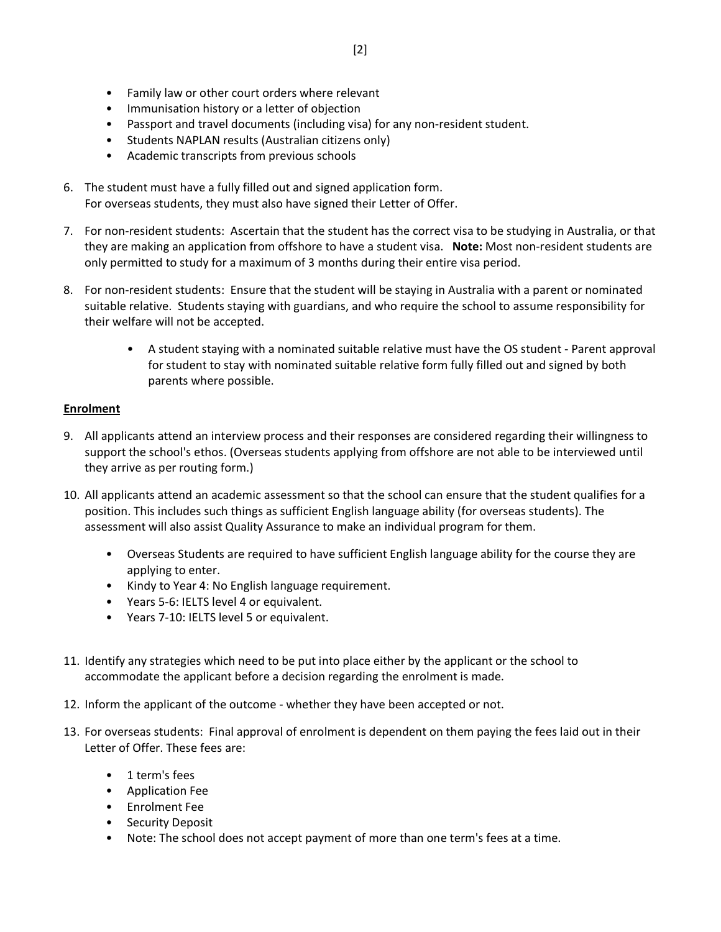- Family law or other court orders where relevant
- Immunisation history or a letter of objection
- Passport and travel documents (including visa) for any non-resident student.
- Students NAPLAN results (Australian citizens only)
- Academic transcripts from previous schools
- 6. The student must have a fully filled out and signed application form. For overseas students, they must also have signed their Letter of Offer.
- 7. For non-resident students: Ascertain that the student has the correct visa to be studying in Australia, or that they are making an application from offshore to have a student visa. **Note:** Most non-resident students are only permitted to study for a maximum of 3 months during their entire visa period.
- 8. For non-resident students: Ensure that the student will be staying in Australia with a parent or nominated suitable relative. Students staying with guardians, and who require the school to assume responsibility for their welfare will not be accepted.
	- A student staying with a nominated suitable relative must have the OS student Parent approval for student to stay with nominated suitable relative form fully filled out and signed by both parents where possible.

#### **Enrolment**

- 9. All applicants attend an interview process and their responses are considered regarding their willingness to support the school's ethos. (Overseas students applying from offshore are not able to be interviewed until they arrive as per routing form.)
- 10. All applicants attend an academic assessment so that the school can ensure that the student qualifies for a position. This includes such things as sufficient English language ability (for overseas students). The assessment will also assist Quality Assurance to make an individual program for them.
	- Overseas Students are required to have sufficient English language ability for the course they are applying to enter.
	- Kindy to Year 4: No English language requirement.
	- Years 5-6: IELTS level 4 or equivalent.
	- Years 7-10: IELTS level 5 or equivalent.
- 11. Identify any strategies which need to be put into place either by the applicant or the school to accommodate the applicant before a decision regarding the enrolment is made.
- 12. Inform the applicant of the outcome whether they have been accepted or not.
- 13. For overseas students: Final approval of enrolment is dependent on them paying the fees laid out in their Letter of Offer. These fees are:
	- 1 term's fees
	- Application Fee
	- Enrolment Fee
	- Security Deposit
	- Note: The school does not accept payment of more than one term's fees at a time.